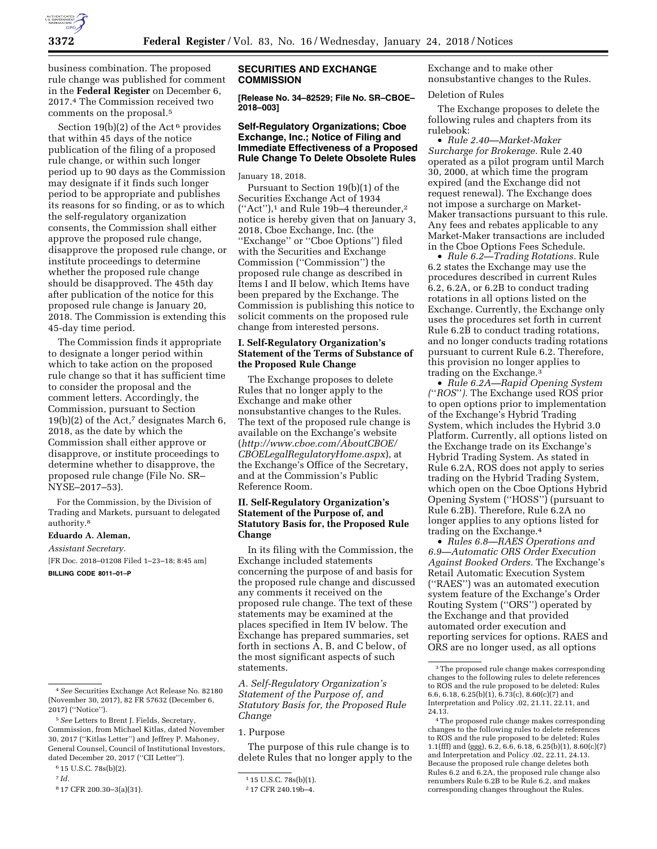

business combination. The proposed rule change was published for comment in the **Federal Register** on December 6, 2017.4 The Commission received two comments on the proposal.5

Section 19(b)(2) of the Act<sup>6</sup> provides that within 45 days of the notice publication of the filing of a proposed rule change, or within such longer period up to 90 days as the Commission may designate if it finds such longer period to be appropriate and publishes its reasons for so finding, or as to which the self-regulatory organization consents, the Commission shall either approve the proposed rule change, disapprove the proposed rule change, or institute proceedings to determine whether the proposed rule change should be disapproved. The 45th day after publication of the notice for this proposed rule change is January 20, 2018. The Commission is extending this 45-day time period.

The Commission finds it appropriate to designate a longer period within which to take action on the proposed rule change so that it has sufficient time to consider the proposal and the comment letters. Accordingly, the Commission, pursuant to Section  $19(b)(2)$  of the Act,<sup>7</sup> designates March 6, 2018, as the date by which the Commission shall either approve or disapprove, or institute proceedings to determine whether to disapprove, the proposed rule change (File No. SR– NYSE–2017–53).

For the Commission, by the Division of Trading and Markets, pursuant to delegated authority.8

# **Eduardo A. Aleman,**

*Assistant Secretary.* 

[FR Doc. 2018–01208 Filed 1–23–18; 8:45 am] **BILLING CODE 8011–01–P** 

#### **SECURITIES AND EXCHANGE COMMISSION**

**[Release No. 34–82529; File No. SR–CBOE– 2018–003]** 

# **Self-Regulatory Organizations; Cboe Exchange, Inc.; Notice of Filing and Immediate Effectiveness of a Proposed Rule Change To Delete Obsolete Rules**

January 18, 2018.

Pursuant to Section 19(b)(1) of the Securities Exchange Act of 1934  $("Act")$ ,<sup>1</sup> and Rule 19b-4 thereunder,<sup>2</sup> notice is hereby given that on January 3, 2018, Cboe Exchange, Inc. (the ''Exchange'' or ''Cboe Options'') filed with the Securities and Exchange Commission (''Commission'') the proposed rule change as described in Items I and II below, which Items have been prepared by the Exchange. The Commission is publishing this notice to solicit comments on the proposed rule change from interested persons.

# **I. Self-Regulatory Organization's Statement of the Terms of Substance of the Proposed Rule Change**

The Exchange proposes to delete Rules that no longer apply to the Exchange and make other nonsubstantive changes to the Rules. The text of the proposed rule change is available on the Exchange's website (*[http://www.cboe.com/AboutCBOE/](http://www.cboe.com/AboutCBOE/CBOELegalRegulatoryHome.aspx) [CBOELegalRegulatoryHome.aspx](http://www.cboe.com/AboutCBOE/CBOELegalRegulatoryHome.aspx)*), at the Exchange's Office of the Secretary, and at the Commission's Public Reference Room.

# **II. Self-Regulatory Organization's Statement of the Purpose of, and Statutory Basis for, the Proposed Rule Change**

In its filing with the Commission, the Exchange included statements concerning the purpose of and basis for the proposed rule change and discussed any comments it received on the proposed rule change. The text of these statements may be examined at the places specified in Item IV below. The Exchange has prepared summaries, set forth in sections A, B, and C below, of the most significant aspects of such statements.

*A. Self-Regulatory Organization's Statement of the Purpose of, and Statutory Basis for, the Proposed Rule Change* 

# 1. Purpose

The purpose of this rule change is to delete Rules that no longer apply to the Exchange and to make other nonsubstantive changes to the Rules.

# Deletion of Rules

The Exchange proposes to delete the following rules and chapters from its rulebook:

• *Rule 2.40—Market-Maker Surcharge for Brokerage.* Rule 2.40 operated as a pilot program until March 30, 2000, at which time the program expired (and the Exchange did not request renewal). The Exchange does not impose a surcharge on Market-Maker transactions pursuant to this rule. Any fees and rebates applicable to any Market-Maker transactions are included in the Cboe Options Fees Schedule.

• *Rule 6.2—Trading Rotations.* Rule 6.2 states the Exchange may use the procedures described in current Rules 6.2, 6.2A, or 6.2B to conduct trading rotations in all options listed on the Exchange. Currently, the Exchange only uses the procedures set forth in current Rule 6.2B to conduct trading rotations, and no longer conducts trading rotations pursuant to current Rule 6.2. Therefore, this provision no longer applies to trading on the Exchange.3

• *Rule 6.2A—Rapid Opening System (*''*ROS*''*).* The Exchange used ROS prior to open options prior to implementation of the Exchange's Hybrid Trading System, which includes the Hybrid 3.0 Platform. Currently, all options listed on the Exchange trade on its Exchange's Hybrid Trading System. As stated in Rule 6.2A, ROS does not apply to series trading on the Hybrid Trading System, which open on the Cboe Options Hybrid Opening System (''HOSS'') (pursuant to Rule 6.2B). Therefore, Rule 6.2A no longer applies to any options listed for trading on the Exchange.4

• *Rules 6.8—RAES Operations and 6.9—Automatic ORS Order Execution Against Booked Orders.* The Exchange's Retail Automatic Execution System (''RAES'') was an automated execution system feature of the Exchange's Order Routing System (''ORS'') operated by the Exchange and that provided automated order execution and reporting services for options. RAES and ORS are no longer used, as all options

<sup>4</sup>*See* Securities Exchange Act Release No. 82180 (November 30, 2017), 82 FR 57632 (December 6, 2017) (''Notice'').

<sup>5</sup>*See* Letters to Brent J. Fields, Secretary, Commission, from Michael Kitlas, dated November 30, 2017 (''Kitlas Letter'') and Jeffrey P. Mahoney, General Counsel, Council of Institutional Investors, dated December 20, 2017 (''CII Letter'').

<sup>6</sup> 15 U.S.C. 78s(b)(2).

<sup>7</sup> *Id.* 

<sup>8</sup> 17 CFR 200.30–3(a)(31).

<sup>1</sup> 15 U.S.C. 78s(b)(1).

<sup>2</sup> 17 CFR 240.19b–4.

<sup>3</sup>The proposed rule change makes corresponding changes to the following rules to delete references to ROS and the rule proposed to be deleted: Rules 6.6, 6.18, 6.25(b)(1),  $6.73(c)$ , 8.60(c)(7) and Interpretation and Policy .02, 21.11, 22.11, and 24.13.

<sup>4</sup>The proposed rule change makes corresponding changes to the following rules to delete references to ROS and the rule proposed to be deleted: Rules 1.1(fff) and (ggg),  $6.\overline{2}$ ,  $6.\overline{6}$ ,  $6.18$ ,  $6.25(b)(1)$ ,  $8.60(c)(7)$ and Interpretation and Policy .02, 22.11, 24.13. Because the proposed rule change deletes both Rules 6.2 and 6.2A, the proposed rule change also renumbers Rule 6.2B to be Rule 6.2, and makes corresponding changes throughout the Rules.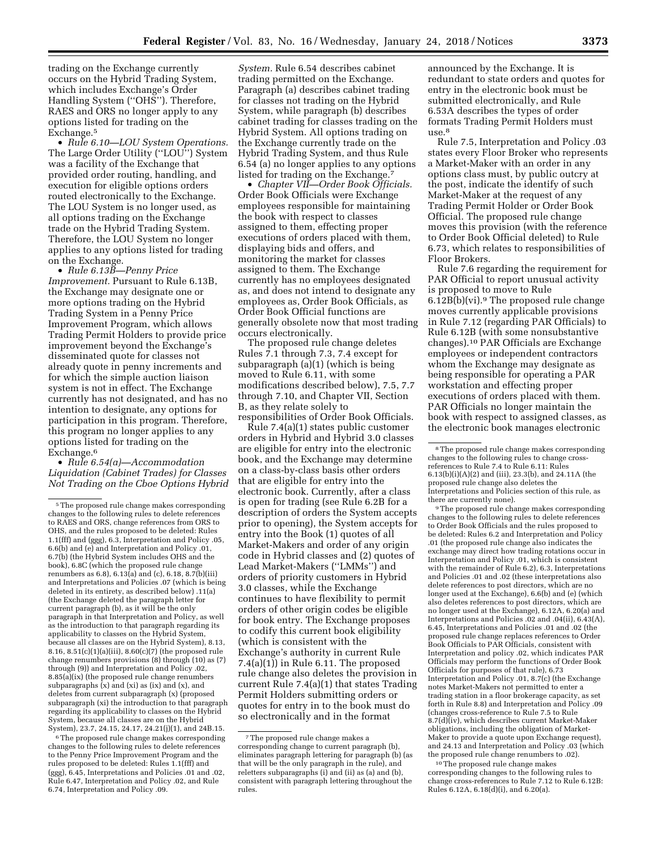trading on the Exchange currently occurs on the Hybrid Trading System, which includes Exchange's Order Handling System (''OHS''). Therefore, RAES and ORS no longer apply to any options listed for trading on the Exchange.<sup>5</sup>

• *Rule 6.10—LOU System Operations.*  The Large Order Utility (''LOU'') System was a facility of the Exchange that provided order routing, handling, and execution for eligible options orders routed electronically to the Exchange. The LOU System is no longer used, as all options trading on the Exchange trade on the Hybrid Trading System. Therefore, the LOU System no longer applies to any options listed for trading on the Exchange.

• *Rule 6.13B—Penny Price Improvement.* Pursuant to Rule 6.13B, the Exchange may designate one or more options trading on the Hybrid Trading System in a Penny Price Improvement Program, which allows Trading Permit Holders to provide price improvement beyond the Exchange's disseminated quote for classes not already quote in penny increments and for which the simple auction liaison system is not in effect. The Exchange currently has not designated, and has no intention to designate, any options for participation in this program. Therefore, this program no longer applies to any options listed for trading on the Exchange.6

• *Rule 6.54(a)—Accommodation Liquidation (Cabinet Trades) for Classes Not Trading on the Cboe Options Hybrid* 

6The proposed rule change makes corresponding changes to the following rules to delete references to the Penny Price Improvement Program and the rules proposed to be deleted: Rules 1.1(fff) and (ggg), 6.45, Interpretations and Policies .01 and .02, Rule 6.47, Interpretation and Policy .02, and Rule 6.74, Interpretation and Policy .09.

*System.* Rule 6.54 describes cabinet trading permitted on the Exchange. Paragraph (a) describes cabinet trading for classes not trading on the Hybrid System, while paragraph (b) describes cabinet trading for classes trading on the Hybrid System. All options trading on the Exchange currently trade on the Hybrid Trading System, and thus Rule 6.54 (a) no longer applies to any options listed for trading on the Exchange.7

• *Chapter VII—Order Book Officials.*  Order Book Officials were Exchange employees responsible for maintaining the book with respect to classes assigned to them, effecting proper executions of orders placed with them, displaying bids and offers, and monitoring the market for classes assigned to them. The Exchange currently has no employees designated as, and does not intend to designate any employees as, Order Book Officials, as Order Book Official functions are generally obsolete now that most trading occurs electronically.

The proposed rule change deletes Rules 7.1 through 7.3, 7.4 except for subparagraph (a)(1) (which is being moved to Rule 6.11, with some modifications described below), 7.5, 7.7 through 7.10, and Chapter VII, Section B, as they relate solely to responsibilities of Order Book Officials.

Rule 7.4(a)(1) states public customer orders in Hybrid and Hybrid 3.0 classes are eligible for entry into the electronic book, and the Exchange may determine on a class-by-class basis other orders that are eligible for entry into the electronic book. Currently, after a class is open for trading (see Rule 6.2B for a description of orders the System accepts prior to opening), the System accepts for entry into the Book (1) quotes of all Market-Makers and order of any origin code in Hybrid classes and (2) quotes of Lead Market-Makers (''LMMs'') and orders of priority customers in Hybrid 3.0 classes, while the Exchange continues to have flexibility to permit orders of other origin codes be eligible for book entry. The Exchange proposes to codify this current book eligibility (which is consistent with the Exchange's authority in current Rule 7.4(a)(1)) in Rule 6.11. The proposed rule change also deletes the provision in current Rule 7.4(a)(1) that states Trading Permit Holders submitting orders or quotes for entry in to the book must do so electronically and in the format

announced by the Exchange. It is redundant to state orders and quotes for entry in the electronic book must be submitted electronically, and Rule 6.53A describes the types of order formats Trading Permit Holders must  $use.<sup>8</sup>$ 

Rule 7.5, Interpretation and Policy .03 states every Floor Broker who represents a Market-Maker with an order in any options class must, by public outcry at the post, indicate the identify of such Market-Maker at the request of any Trading Permit Holder or Order Book Official. The proposed rule change moves this provision (with the reference to Order Book Official deleted) to Rule 6.73, which relates to responsibilities of Floor Brokers.

Rule 7.6 regarding the requirement for PAR Official to report unusual activity is proposed to move to Rule 6.12B(b)(vi).9 The proposed rule change moves currently applicable provisions in Rule 7.12 (regarding PAR Officials) to Rule 6.12B (with some nonsubstantive changes).10 PAR Officials are Exchange employees or independent contractors whom the Exchange may designate as being responsible for operating a PAR workstation and effecting proper executions of orders placed with them. PAR Officials no longer maintain the book with respect to assigned classes, as the electronic book manages electronic

<sup>9</sup>The proposed rule change makes corresponding changes to the following rules to delete references to Order Book Officials and the rules proposed to be deleted: Rules 6.2 and Interpretation and Policy .01 (the proposed rule change also indicates the exchange may direct how trading rotations occur in Interpretation and Policy .01, which is consistent with the remainder of Rule 6.2), 6.3, Interpretations and Policies .01 and .02 (these interpretations also delete references to post directors, which are no longer used at the Exchange), 6.6(b) and (e) (which also deletes references to post directors, which are no longer used at the Exchange), 6.12A, 6.20(a) and Interpretations and Policies .02 and .04(ii), 6.43(A), 6.45, Interpretations and Policies .01 and .02 (the proposed rule change replaces references to Order Book Officials to PAR Officials, consistent with Interpretation and policy .02, which indicates PAR Officials may perform the functions of Order Book Officials for purposes of that rule), 6.73 Interpretation and Policy .01, 8.7(c) (the Exchange notes Market-Makers not permitted to enter a trading station in a floor brokerage capacity, as set forth in Rule 8.8) and Interpretation and Policy .09 (changes cross-reference to Rule 7.5 to Rule 8.7(d)(iv), which describes current Market-Maker obligations, including the obligation of Market-Maker to provide a quote upon Exchange request), and 24.13 and Interpretation and Policy .03 (which the proposed rule change renumbers to .02).

10The proposed rule change makes corresponding changes to the following rules to change cross-references to Rule 7.12 to Rule 6.12B: Rules 6.12A, 6.18(d)(i), and 6.20(a).

<sup>5</sup>The proposed rule change makes corresponding changes to the following rules to delete references to RAES and ORS, change references from ORS to OHS, and the rules proposed to be deleted: Rules 1.1(fff) and (ggg), 6.3, Interpretation and Policy .05, 6.6(b) and (e) and Interpretation and Policy .01, 6.7(b) (the Hybrid System includes OHS and the book), 6.8C (which the proposed rule change renumbers as 6.8),  $6.13(a)$  and (c),  $6.18$ ,  $8.7(b)$ (iii) and Interpretations and Policies .07 (which is being deleted in its entirety, as described below) .11(a) (the Exchange deleted the paragraph letter for current paragraph (b), as it will be the only paragraph in that Interpretation and Policy, as well as the introduction to that paragraph regarding its applicability to classes on the Hybrid System, because all classes are on the Hybrid System), 8.13, 8.16, 8.51(c)(1)(a)(iii), 8.60(c)(7) (the proposed rule change renumbers provisions (8) through (10) as (7) through (9)) and Interpretation and Policy .02, 8.85(a)(ix) (the proposed rule change renumbers subparagraphs (x) and (xi) as (ix) and (x), and deletes from current subparagraph (x) (proposed subparagraph (xi) the introduction to that paragraph regarding its applicability to classes on the Hybrid System, because all classes are on the Hybrid System), 23.7, 24.15, 24.17, 24.21(j)(1), and 24B.15.

<sup>7</sup>The proposed rule change makes a corresponding change to current paragraph (b), eliminates paragraph lettering for paragraph (b) (as that will be the only paragraph in the rule), and reletters subparagraphs (i) and (ii) as (a) and (b), consistent with paragraph lettering throughout the rules.

<sup>8</sup>The proposed rule change makes corresponding changes to the following rules to change crossreferences to Rule 7.4 to Rule 6.11: Rules 6.13(b)(i)(A)(2) and (iii), 23.3(b), and 24.11A (the proposed rule change also deletes the Interpretations and Policies section of this rule, as there are currently none).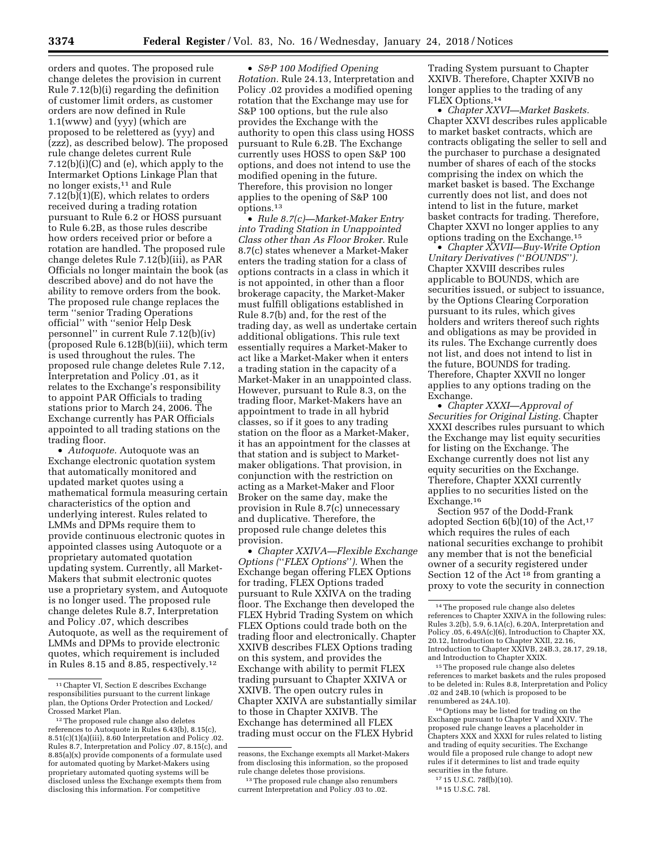orders and quotes. The proposed rule change deletes the provision in current Rule 7.12(b)(i) regarding the definition of customer limit orders, as customer orders are now defined in Rule 1.1(www) and (yyy) (which are proposed to be relettered as (yyy) and (zzz), as described below). The proposed rule change deletes current Rule 7.12(b)(i)(C) and (e), which apply to the Intermarket Options Linkage Plan that no longer exists,11 and Rule  $7.12(b)(1)(E)$ , which relates to orders received during a trading rotation pursuant to Rule 6.2 or HOSS pursuant to Rule 6.2B, as those rules describe how orders received prior or before a rotation are handled. The proposed rule change deletes Rule 7.12(b)(iii), as PAR Officials no longer maintain the book (as described above) and do not have the ability to remove orders from the book. The proposed rule change replaces the term ''senior Trading Operations official'' with ''senior Help Desk personnel'' in current Rule 7.12(b)(iv) (proposed Rule 6.12B(b)(iii), which term is used throughout the rules. The proposed rule change deletes Rule 7.12, Interpretation and Policy .01, as it relates to the Exchange's responsibility to appoint PAR Officials to trading stations prior to March 24, 2006. The Exchange currently has PAR Officials appointed to all trading stations on the trading floor.

• *Autoquote.* Autoquote was an Exchange electronic quotation system that automatically monitored and updated market quotes using a mathematical formula measuring certain characteristics of the option and underlying interest. Rules related to LMMs and DPMs require them to provide continuous electronic quotes in appointed classes using Autoquote or a proprietary automated quotation updating system. Currently, all Market-Makers that submit electronic quotes use a proprietary system, and Autoquote is no longer used. The proposed rule change deletes Rule 8.7, Interpretation and Policy .07, which describes Autoquote, as well as the requirement of LMMs and DPMs to provide electronic quotes, which requirement is included in Rules 8.15 and 8.85, respectively.12

• *S&P 100 Modified Opening Rotation.* Rule 24.13, Interpretation and Policy .02 provides a modified opening rotation that the Exchange may use for S&P 100 options, but the rule also provides the Exchange with the authority to open this class using HOSS pursuant to Rule 6.2B. The Exchange currently uses HOSS to open S&P 100 options, and does not intend to use the modified opening in the future. Therefore, this provision no longer applies to the opening of S&P 100 options.13

• *Rule 8.7(c)—Market-Maker Entry into Trading Station in Unappointed Class other than As Floor Broker.* Rule 8.7(c) states whenever a Market-Maker enters the trading station for a class of options contracts in a class in which it is not appointed, in other than a floor brokerage capacity, the Market-Maker must fulfill obligations established in Rule 8.7(b) and, for the rest of the trading day, as well as undertake certain additional obligations. This rule text essentially requires a Market-Maker to act like a Market-Maker when it enters a trading station in the capacity of a Market-Maker in an unappointed class. However, pursuant to Rule 8.3, on the trading floor, Market-Makers have an appointment to trade in all hybrid classes, so if it goes to any trading station on the floor as a Market-Maker, it has an appointment for the classes at that station and is subject to Marketmaker obligations. That provision, in conjunction with the restriction on acting as a Market-Maker and Floor Broker on the same day, make the provision in Rule 8.7(c) unnecessary and duplicative. Therefore, the proposed rule change deletes this provision.

• *Chapter XXIVA—Flexible Exchange Options (*''*FLEX Options*''*).* When the Exchange began offering FLEX Options for trading, FLEX Options traded pursuant to Rule XXIVA on the trading floor. The Exchange then developed the FLEX Hybrid Trading System on which FLEX Options could trade both on the trading floor and electronically. Chapter XXIVB describes FLEX Options trading on this system, and provides the Exchange with ability to permit FLEX trading pursuant to Chapter XXIVA or XXIVB. The open outcry rules in Chapter XXIVA are substantially similar to those in Chapter XXIVB. The Exchange has determined all FLEX trading must occur on the FLEX Hybrid

Trading System pursuant to Chapter XXIVB. Therefore, Chapter XXIVB no longer applies to the trading of any FLEX Options.14

• *Chapter XXVI—Market Baskets.*  Chapter XXVI describes rules applicable to market basket contracts, which are contracts obligating the seller to sell and the purchaser to purchase a designated number of shares of each of the stocks comprising the index on which the market basket is based. The Exchange currently does not list, and does not intend to list in the future, market basket contracts for trading. Therefore, Chapter XXVI no longer applies to any options trading on the Exchange.15

• *Chapter XXVII—Buy-Write Option Unitary Derivatives (*''*BOUNDS*''*).*  Chapter XXVIII describes rules applicable to BOUNDS, which are securities issued, or subject to issuance, by the Options Clearing Corporation pursuant to its rules, which gives holders and writers thereof such rights and obligations as may be provided in its rules. The Exchange currently does not list, and does not intend to list in the future, BOUNDS for trading. Therefore, Chapter XXVII no longer applies to any options trading on the Exchange.

• *Chapter XXXI—Approval of Securities for Original Listing.* Chapter XXXI describes rules pursuant to which the Exchange may list equity securities for listing on the Exchange. The Exchange currently does not list any equity securities on the Exchange. Therefore, Chapter XXXI currently applies to no securities listed on the Exchange.16

Section 957 of the Dodd-Frank adopted Section 6(b)(10) of the Act,17 which requires the rules of each national securities exchange to prohibit any member that is not the beneficial owner of a security registered under Section 12 of the Act<sup>18</sup> from granting a proxy to vote the security in connection

<sup>15</sup>The proposed rule change also deletes references to market baskets and the rules proposed to be deleted in: Rules 8.8, Interpretation and Policy .02 and 24B.10 (which is proposed to be renumbered as 24A.10).

16Options may be listed for trading on the Exchange pursuant to Chapter V and XXIV. The proposed rule change leaves a placeholder in Chapters XXX and XXXI for rules related to listing and trading of equity securities. The Exchange would file a proposed rule change to adopt new rules if it determines to list and trade equity securities in the future.

```
18 15 U.S.C. 78l.
```
<sup>11</sup>Chapter VI, Section E describes Exchange responsibilities pursuant to the current linkage plan, the Options Order Protection and Locked/ Crossed Market Plan.

<sup>&</sup>lt;sup>12</sup>The proposed rule change also deletes references to Autoquote in Rules 6.43(b), 8.15(c), 8.51(c)(1)(a)(iii), 8.60 Interpretation and Policy .02. Rules 8.7, Interpretation and Policy .07, 8.15(c), and 8.85(a)(x) provide components of a formulate used for automated quoting by Market-Makers using proprietary automated quoting systems will be disclosed unless the Exchange exempts them from disclosing this information. For competitive

reasons, the Exchange exempts all Market-Makers from disclosing this information, so the proposed rule change deletes those provisions.

<sup>13</sup>The proposed rule change also renumbers current Interpretation and Policy .03 to .02.

<sup>14</sup>The proposed rule change also deletes references to Chapter XXIVA in the following rules: Rules 3.2(b), 5.9, 6.1A(c), 6.20A, Interpretation and Policy .05, 6.49A(c)(6), Introduction to Chapter XX, 20.12, Introduction to Chapter XXII, 22.16, Introduction to Chapter XXIVB, 24B.3, 28.17, 29.18, and Introduction to Chapter XXIX.

<sup>17</sup> 15 U.S.C. 78f(b)(10).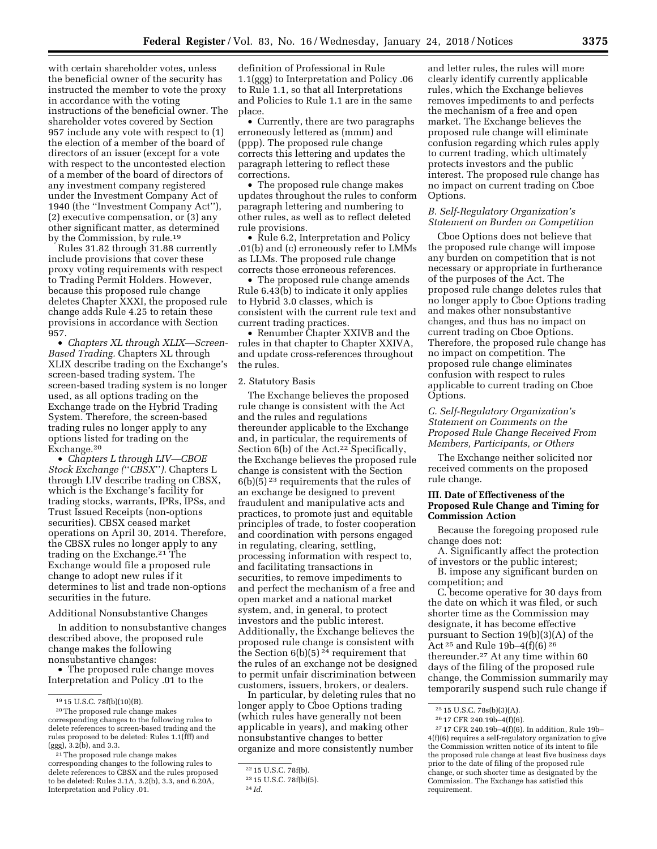with certain shareholder votes, unless the beneficial owner of the security has instructed the member to vote the proxy in accordance with the voting instructions of the beneficial owner. The shareholder votes covered by Section 957 include any vote with respect to (1) the election of a member of the board of directors of an issuer (except for a vote with respect to the uncontested election of a member of the board of directors of any investment company registered under the Investment Company Act of 1940 (the ''Investment Company Act''), (2) executive compensation, or (3) any other significant matter, as determined by the Commission, by rule.19

Rules 31.82 through 31.88 currently include provisions that cover these proxy voting requirements with respect to Trading Permit Holders. However, because this proposed rule change deletes Chapter XXXI, the proposed rule change adds Rule 4.25 to retain these provisions in accordance with Section 957.

• *Chapters XL through XLIX—Screen-Based Trading.* Chapters XL through XLIX describe trading on the Exchange's screen-based trading system. The screen-based trading system is no longer used, as all options trading on the Exchange trade on the Hybrid Trading System. Therefore, the screen-based trading rules no longer apply to any options listed for trading on the Exchange.20

• *Chapters L through LIV—CBOE Stock Exchange (*''*CBSX*''*).* Chapters L through LIV describe trading on CBSX, which is the Exchange's facility for trading stocks, warrants, IPRs, IPSs, and Trust Issued Receipts (non-options securities). CBSX ceased market operations on April 30, 2014. Therefore, the CBSX rules no longer apply to any trading on the Exchange.21 The Exchange would file a proposed rule change to adopt new rules if it determines to list and trade non-options securities in the future.

# Additional Nonsubstantive Changes

In addition to nonsubstantive changes described above, the proposed rule change makes the following nonsubstantive changes:

• The proposed rule change moves Interpretation and Policy .01 to the

definition of Professional in Rule 1.1(ggg) to Interpretation and Policy .06 to Rule 1.1, so that all Interpretations and Policies to Rule 1.1 are in the same place.

• Currently, there are two paragraphs erroneously lettered as (mmm) and (ppp). The proposed rule change corrects this lettering and updates the paragraph lettering to reflect these corrections.

• The proposed rule change makes updates throughout the rules to conform paragraph lettering and numbering to other rules, as well as to reflect deleted rule provisions.

• Rule 6.2, Interpretation and Policy .01(b) and (c) erroneously refer to LMMs as LLMs. The proposed rule change corrects those erroneous references.

• The proposed rule change amends Rule 6.43(b) to indicate it only applies to Hybrid 3.0 classes, which is consistent with the current rule text and current trading practices.

• Renumber Chapter XXIVB and the rules in that chapter to Chapter XXIVA, and update cross-references throughout the rules.

#### 2. Statutory Basis

The Exchange believes the proposed rule change is consistent with the Act and the rules and regulations thereunder applicable to the Exchange and, in particular, the requirements of Section 6(b) of the Act.<sup>22</sup> Specifically, the Exchange believes the proposed rule change is consistent with the Section  $6(b)(5)^{23}$  requirements that the rules of an exchange be designed to prevent fraudulent and manipulative acts and practices, to promote just and equitable principles of trade, to foster cooperation and coordination with persons engaged in regulating, clearing, settling, processing information with respect to, and facilitating transactions in securities, to remove impediments to and perfect the mechanism of a free and open market and a national market system, and, in general, to protect investors and the public interest. Additionally, the Exchange believes the proposed rule change is consistent with the Section  $6(b)(5)^{24}$  requirement that the rules of an exchange not be designed to permit unfair discrimination between customers, issuers, brokers, or dealers.

In particular, by deleting rules that no longer apply to Cboe Options trading (which rules have generally not been applicable in years), and making other nonsubstantive changes to better organize and more consistently number

and letter rules, the rules will more clearly identify currently applicable rules, which the Exchange believes removes impediments to and perfects the mechanism of a free and open market. The Exchange believes the proposed rule change will eliminate confusion regarding which rules apply to current trading, which ultimately protects investors and the public interest. The proposed rule change has no impact on current trading on Cboe Options.

# *B. Self-Regulatory Organization's Statement on Burden on Competition*

Cboe Options does not believe that the proposed rule change will impose any burden on competition that is not necessary or appropriate in furtherance of the purposes of the Act. The proposed rule change deletes rules that no longer apply to Cboe Options trading and makes other nonsubstantive changes, and thus has no impact on current trading on Cboe Options. Therefore, the proposed rule change has no impact on competition. The proposed rule change eliminates confusion with respect to rules applicable to current trading on Cboe Options.

# *C. Self-Regulatory Organization's Statement on Comments on the Proposed Rule Change Received From Members, Participants, or Others*

The Exchange neither solicited nor received comments on the proposed rule change.

# **III. Date of Effectiveness of the Proposed Rule Change and Timing for Commission Action**

Because the foregoing proposed rule change does not:

A. Significantly affect the protection of investors or the public interest;

B. impose any significant burden on competition; and

C. become operative for 30 days from the date on which it was filed, or such shorter time as the Commission may designate, it has become effective pursuant to Section 19(b)(3)(A) of the Act 25 and Rule 19b–4(f)(6) 26 thereunder.27 At any time within 60 days of the filing of the proposed rule change, the Commission summarily may temporarily suspend such rule change if

<sup>19</sup> 15 U.S.C. 78f(b)(10)(B).

<sup>20</sup>The proposed rule change makes corresponding changes to the following rules to delete references to screen-based trading and the rules proposed to be deleted: Rules 1.1(fff) and (ggg), 3.2(b), and 3.3.

<sup>21</sup>The proposed rule change makes corresponding changes to the following rules to delete references to CBSX and the rules proposed to be deleted: Rules 3.1A, 3.2(b), 3.3, and 6.20A, Interpretation and Policy .01.

<sup>22</sup> 15 U.S.C. 78f(b).

<sup>23</sup> 15 U.S.C. 78f(b)(5).

<sup>24</sup> *Id.* 

<sup>25</sup> 15 U.S.C. 78s(b)(3)(A).

<sup>26</sup> 17 CFR 240.19b–4(f)(6).

<sup>27</sup> 17 CFR 240.19b–4(f)(6). In addition, Rule 19b– 4(f)(6) requires a self-regulatory organization to give the Commission written notice of its intent to file the proposed rule change at least five business days prior to the date of filing of the proposed rule change, or such shorter time as designated by the Commission. The Exchange has satisfied this requirement.